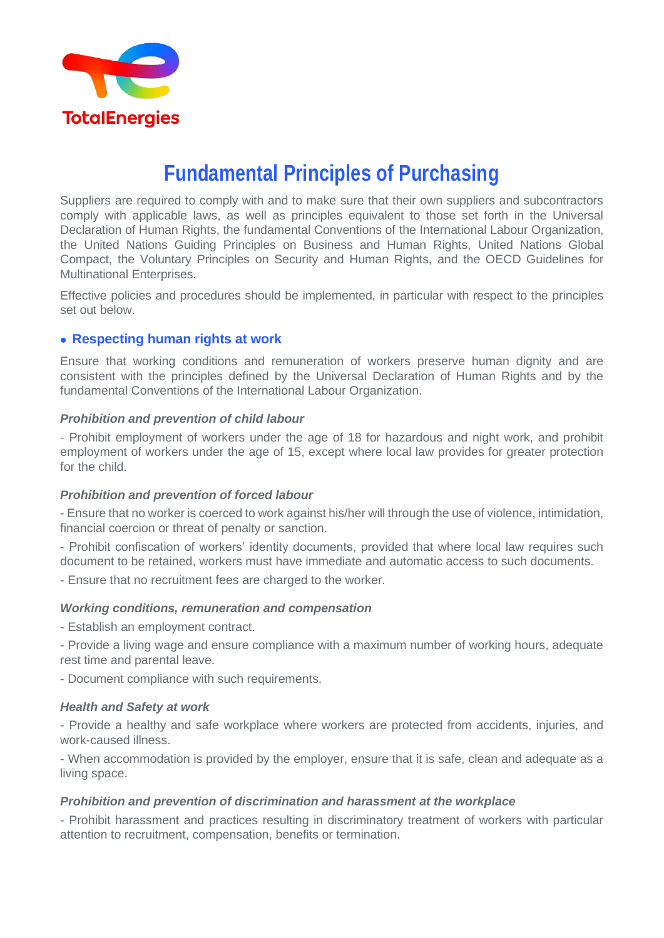

# **Fundamental Principles of Purchasing**

Suppliers are required to comply with and to make sure that their own suppliers and subcontractors comply with applicable laws, as well as principles equivalent to those set forth in the Universal Declaration of Human Rights, the fundamental Conventions of the International Labour Organization, the United Nations Guiding Principles on Business and Human Rights, United Nations Global Compact, the Voluntary Principles on Security and Human Rights, and the OECD Guidelines for Multinational Enterprises.

Effective policies and procedures should be implemented, in particular with respect to the principles set out below.

# • **Respecting human rights at work**

Ensure that working conditions and remuneration of workers preserve human dignity and are consistent with the principles defined by the Universal Declaration of Human Rights and by the fundamental Conventions of the International Labour Organization.

# *Prohibition and prevention of child labour*

- Prohibit employment of workers under the age of 18 for hazardous and night work, and prohibit employment of workers under the age of 15, except where local law provides for greater protection for the child.

#### *Prohibition and prevention of forced labour*

- Ensure that no worker is coerced to work against his/her will through the use of violence, intimidation, financial coercion or threat of penalty or sanction.

- Prohibit confiscation of workers' identity documents, provided that where local law requires such document to be retained, workers must have immediate and automatic access to such documents.

- Ensure that no recruitment fees are charged to the worker.

# *Working conditions, remuneration and compensation*

- Establish an employment contract.

- Provide a living wage and ensure compliance with a maximum number of working hours, adequate rest time and parental leave.

- Document compliance with such requirements.

# *Health and Safety at work*

- Provide a healthy and safe workplace where workers are protected from accidents, injuries, and work-caused illness.

- When accommodation is provided by the employer, ensure that it is safe, clean and adequate as a living space.

# *Prohibition and prevention of discrimination and harassment at the workplace*

- Prohibit harassment and practices resulting in discriminatory treatment of workers with particular attention to recruitment, compensation, benefits or termination.